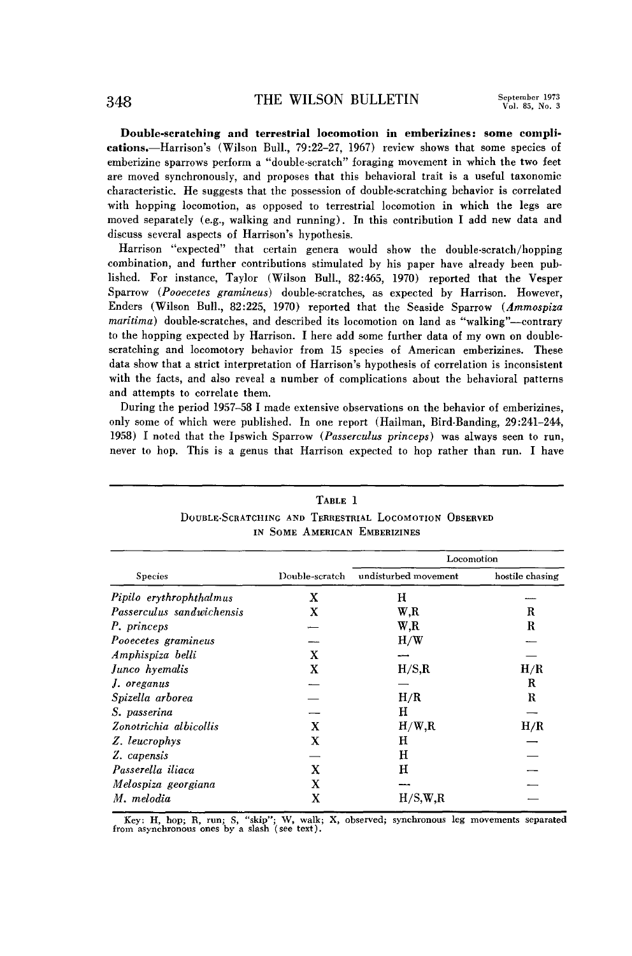**Double-scratching and terrestrial locomotion in emberizines: some complications.-Harrisons ' (Wilson Bull., 79:22-27, 1967) review shows that some species of emberizine sparrows perform a "double-scratch" foraging movement in which the two feet are moved synchronously, and proposes that this behavioral trait is a useful taxonomic characteristic. He suggests that the possession of double-scratching behavior is correlated with hopping locomotion, as opposed to terrestrial locomotion in which the legs are moved separately (e.g., walking and running). In this contribution I add new data and discuss several aspects of Harrison's hypothesis.** 

Harrison "expected" that certain genera would show the double-scratch/hopping **combination, and further contributions stimulated by his paper have already been published. For instance, Taylor (Wilson Bull., 82:465, 1970) reported that the Vesper Sparrow (Pooecetes gramineus) double-scratches, as expected by Harrison. However, Enders (Wilson Bull., 82:225, 1970) reported that the Seaside Sparrow (Ammospiza maritima) double-scratches, and described its locomotion on land as "walking''-contrary to the hopping expected by Harrison. I here add some further data of my own on doublescratching and locomotory behavior from 15 species of American emberizines. These data show that a strict interpretation of Harrison's hypothesis of correlation is inconsistent with the facts, and also reveal a number of complications about the behavioral patterns and attempts to correlate them.** 

**During the period 1957-58 I made extensive observations on the behavior of emberizines, only some of which were published. In one report (Hailman, Bird-Banding, 29:241-244, 1958) I noted that the Ipswich Sparrow (Passerculas princeps) was always seen to run, never to hop. This is a genus that Harrison expected to hop rather than run. I have** 

| TABLE 1<br>DOUBLE-SCRATCHING AND TERRESTRIAL LOCOMOTION OBSERVED<br>IN SOME AMERICAN EMBERIZINES |                |                      |                 |
|--------------------------------------------------------------------------------------------------|----------------|----------------------|-----------------|
|                                                                                                  |                | Locomotion           |                 |
| <b>Species</b>                                                                                   | Double-scratch | undisturbed movement | hostile chasing |
| Pipilo erythrophthalmus                                                                          | x              | н                    |                 |
| Passerculus sandwichensis                                                                        | x              | $W_{\cdot}R$         | R               |
| P. princeps                                                                                      |                | W.R                  | R               |
| Pooecetes gramineus                                                                              |                | H/W                  |                 |
| Amphispiza belli                                                                                 | x              |                      |                 |
| Junco hyemalis                                                                                   | X              | H/S, R               | H/R             |
| J. oreganus                                                                                      |                |                      | R               |
| Spizella arborea                                                                                 |                | H/R                  | R               |
| S. passerina                                                                                     |                | н                    |                 |
| Zonotrichia albicollis                                                                           | X              | H/W, R               | H/R             |
| Z. leucrophys                                                                                    | X              | н                    |                 |
| Z. capensis                                                                                      |                | н                    |                 |
| Passerella iliaca                                                                                | x              | н                    |                 |
| Melospiza georgiana                                                                              | x              |                      |                 |
| M. melodia                                                                                       | X              | H/S, W, R            |                 |

**Key: H, hop; R, run; S, "skip"; W, walk; X, observed; synchronous leg movements separated from asynchronous ones by a slash (see text).**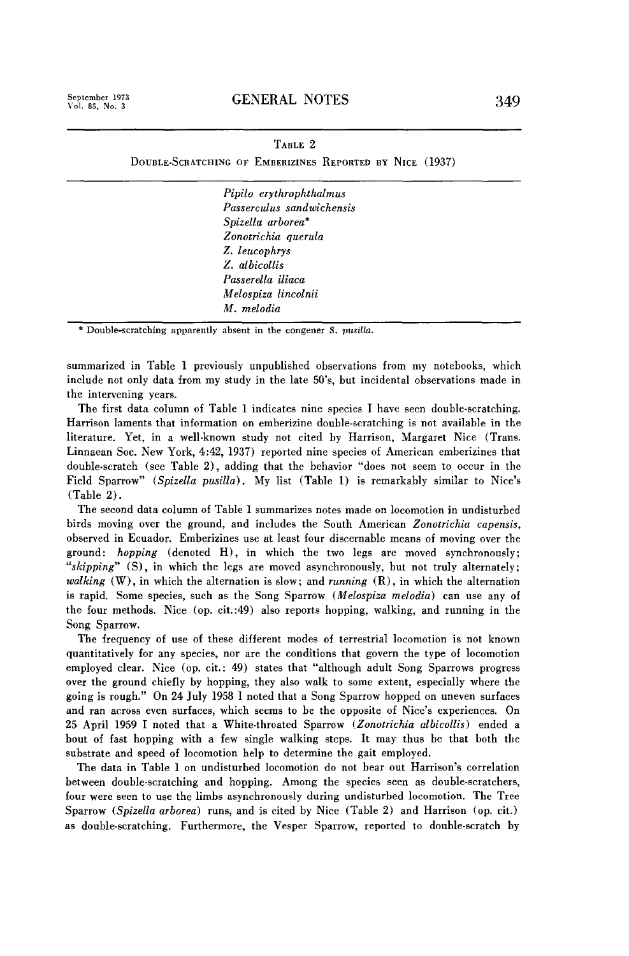**September 1973** 

## **TABLE 2**

**DOUBLE-SCRATCHING OF EMBERIZINES REPORTED BY NICE (1937)** 

**Pipilo erythrophthalmus Passercdus sandwichensis Spizella arborea' Zonotrichia querula Z. leucophrys Z. albicollis Passerella iliaca Melospira lincolnii M. melodia** 

**\* Double-scratching apparently absent in the congener S. pusilla.** 

**summarized in Table 1 previously unpublished observations from my notebooks, which include not only data from my study in the late 50's, but incidental observations made in the intervening years.** 

**The first data column of Table 1 indicates nine species I have seen double-scratching. Harrison laments that information on emberizine double-scratching is not available in the literature. Yet, in a well-known study not cited by Harrison, Margaret Nice (Trans. Linnaean Sot. New York, 4:42, 1937) reported nine species of American emberizines that double-scratch (see Table 2)) adding that the behavior "does not seem to occur in the**  Field Sparrow" (Spizella pusilla). My list (Table 1) is remarkably similar to Nice's **(Table 2).** 

**The second data column of Table 1 summarizes notes made on locomotion in undisturbed birds moving over the ground, and includes the South American Zonotrichia capensis, observed in Ecuador. Emberizines use at least four discernable means of moving over the ground: hopping (denoted H), in which the two legs are moved synchronously; "skipping" (S), in which the legs are moved asynchronously, but not truly alternately; walking (W), in which the alternation is slow; and running (R), in which the alternation is rapid. Some species, such as the Song Sparrow (Melospiza melodia) can use any of the four methods. Nice (op. cit.:49) also reports hopping, walking, and running in the Song Sparrow.** 

**The frequency of use of these different modes of terrestrial locomotion is not known quantitatively for any species, nor are the conditions that govern the type of locomotion employed clear. Nice (op. cit.: 49) states that "although adult Song Sparrows progress over the ground chiefly by hopping, they also walk to some extent, especially where the going is rough." On 24 July 1958 I noted that a Song Sparrow hopped on uneven surfaces and ran across even surfaces, which seems to be the opposite of Nice's experiences. On 25 April 1959 I noted that a White-throated Sparrow (Zonotrichia albicollis) ended a bout of fast hopping with a few single walking steps. It may thus be that both the substrate and speed of locomotion help to determine the gait employed.** 

**The data in Table 1 on undisturbed locomotion do not bear out Harrison's correlation between double-scratching and hopping. Among the species seen as double-scratchers, four were seen to use the limbs asynchronously during undisturbed locomotion. The Tree Sparrow (Spizella arborea) runs, and is cited by Nice (Table 2) and Harrison (op. cit.) as double-scratching. Furthermore, the Vesper Sparrow, reported to double-scratch by**